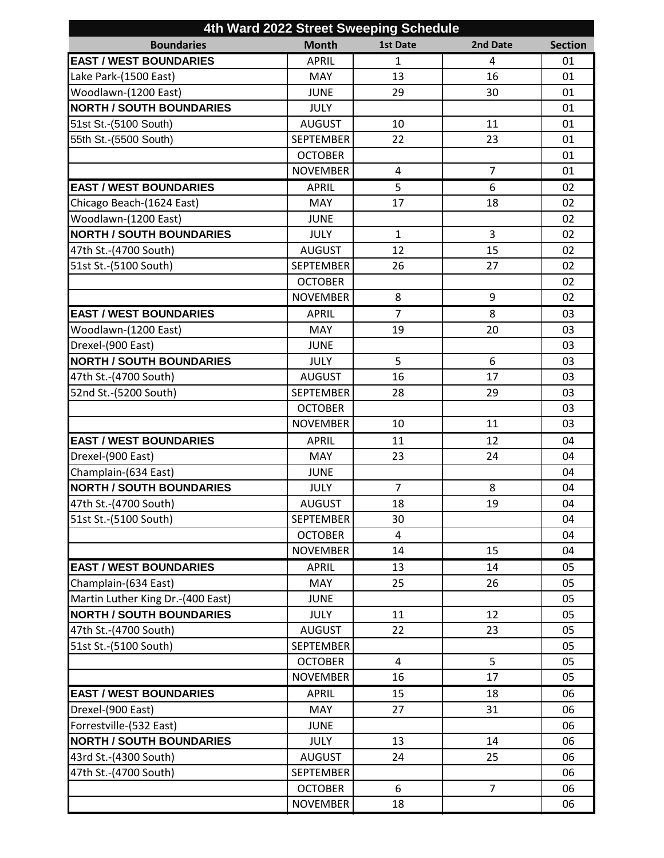| 4th Ward 2022 Street Sweeping Schedule |                  |                 |                |                |  |  |  |
|----------------------------------------|------------------|-----------------|----------------|----------------|--|--|--|
| <b>Boundaries</b>                      | <b>Month</b>     | <b>1st Date</b> | 2nd Date       | <b>Section</b> |  |  |  |
| <b>EAST / WEST BOUNDARIES</b>          | <b>APRIL</b>     | $\mathbf{1}$    | 4              | 01             |  |  |  |
| Lake Park-(1500 East)                  | <b>MAY</b>       | 13              | 16             | 01             |  |  |  |
| Woodlawn-(1200 East)                   | <b>JUNE</b>      | 29              | 30             | 01             |  |  |  |
| <b>NORTH / SOUTH BOUNDARIES</b>        | <b>JULY</b>      |                 |                | 01             |  |  |  |
| 51st St.-(5100 South)                  | <b>AUGUST</b>    | 10              | 11             | 01             |  |  |  |
| 55th St.-(5500 South)                  | <b>SEPTEMBER</b> | 22              | 23             | 01             |  |  |  |
|                                        | <b>OCTOBER</b>   |                 |                | 01             |  |  |  |
|                                        | <b>NOVEMBER</b>  | 4               | $\overline{7}$ | 01             |  |  |  |
| <b>EAST / WEST BOUNDARIES</b>          | <b>APRIL</b>     | 5               | 6              | 02             |  |  |  |
| Chicago Beach-(1624 East)              | <b>MAY</b>       | 17              | 18             | 02             |  |  |  |
| Woodlawn-(1200 East)                   | <b>JUNE</b>      |                 |                | 02             |  |  |  |
| <b>NORTH / SOUTH BOUNDARIES</b>        | <b>JULY</b>      | $\mathbf{1}$    | 3              | 02             |  |  |  |
| 47th St.-(4700 South)                  | <b>AUGUST</b>    | 12              | 15             | 02             |  |  |  |
| 51st St.-(5100 South)                  | <b>SEPTEMBER</b> | 26              | 27             | 02             |  |  |  |
|                                        | <b>OCTOBER</b>   |                 |                | 02             |  |  |  |
|                                        | <b>NOVEMBER</b>  | 8               | 9              | 02             |  |  |  |
| <b>EAST / WEST BOUNDARIES</b>          | <b>APRIL</b>     | $\overline{7}$  | 8              | 03             |  |  |  |
| Woodlawn-(1200 East)                   | <b>MAY</b>       | 19              | 20             | 03             |  |  |  |
| Drexel-(900 East)                      | <b>JUNE</b>      |                 |                | 03             |  |  |  |
| <b>NORTH / SOUTH BOUNDARIES</b>        | <b>JULY</b>      | 5               | 6              | 03             |  |  |  |
| 47th St.-(4700 South)                  | <b>AUGUST</b>    | 16              | 17             | 03             |  |  |  |
| 52nd St.-(5200 South)                  | <b>SEPTEMBER</b> | 28              | 29             | 03             |  |  |  |
|                                        | <b>OCTOBER</b>   |                 |                | 03             |  |  |  |
|                                        | <b>NOVEMBER</b>  | 10              | 11             | 03             |  |  |  |
| <b>EAST / WEST BOUNDARIES</b>          | <b>APRIL</b>     | 11              | 12             | 04             |  |  |  |
| Drexel-(900 East)                      | MAY              | 23              | 24             | 04             |  |  |  |
| Champlain-(634 East)                   | <b>JUNE</b>      |                 |                | 04             |  |  |  |
| <b>NORTH / SOUTH BOUNDARIES</b>        | <b>JULY</b>      | $\overline{7}$  | 8              | 04             |  |  |  |
| 47th St.-(4700 South)                  | <b>AUGUST</b>    | 18              | 19             | 04             |  |  |  |
| 51st St.-(5100 South)                  | <b>SEPTEMBER</b> | 30              |                | 04             |  |  |  |
|                                        | <b>OCTOBER</b>   | 4               |                | 04             |  |  |  |
|                                        | <b>NOVEMBER</b>  | 14              | 15             | 04             |  |  |  |
| <b>EAST / WEST BOUNDARIES</b>          | <b>APRIL</b>     | 13              | 14             | 05             |  |  |  |
| Champlain-(634 East)                   | <b>MAY</b>       | 25              | 26             | 05             |  |  |  |
| Martin Luther King Dr.-(400 East)      | <b>JUNE</b>      |                 |                | 05             |  |  |  |
| <b>NORTH / SOUTH BOUNDARIES</b>        | <b>JULY</b>      | 11              | 12             | 05             |  |  |  |
| 47th St.-(4700 South)                  | <b>AUGUST</b>    | 22              | 23             | 05             |  |  |  |
| 51st St.-(5100 South)                  | <b>SEPTEMBER</b> |                 |                | 05             |  |  |  |
|                                        | <b>OCTOBER</b>   | $\overline{4}$  | 5              | 05             |  |  |  |
|                                        | <b>NOVEMBER</b>  | 16              | 17             | 05             |  |  |  |
| <b>EAST / WEST BOUNDARIES</b>          | <b>APRIL</b>     | 15              | 18             | 06             |  |  |  |
| Drexel-(900 East)                      | MAY              | 27              | 31             | 06             |  |  |  |
| Forrestville-(532 East)                | <b>JUNE</b>      |                 |                | 06             |  |  |  |
| <b>NORTH / SOUTH BOUNDARIES</b>        | <b>JULY</b>      | 13              | 14             | 06             |  |  |  |
| 43rd St.-(4300 South)                  | <b>AUGUST</b>    | 24              | 25             | 06             |  |  |  |
| 47th St.-(4700 South)                  | <b>SEPTEMBER</b> |                 |                | 06             |  |  |  |
|                                        | <b>OCTOBER</b>   | 6               | $\overline{7}$ | 06             |  |  |  |
|                                        | <b>NOVEMBER</b>  | 18              |                | 06             |  |  |  |
|                                        |                  |                 |                |                |  |  |  |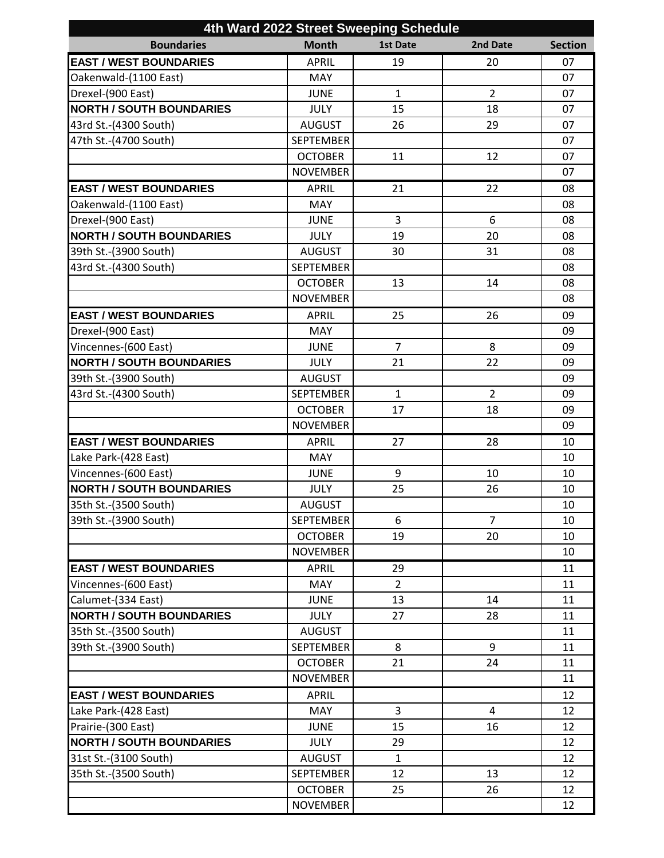| 4th Ward 2022 Street Sweeping Schedule |                  |                 |                |                |  |  |  |
|----------------------------------------|------------------|-----------------|----------------|----------------|--|--|--|
| <b>Boundaries</b>                      | <b>Month</b>     | <b>1st Date</b> | 2nd Date       | <b>Section</b> |  |  |  |
| <b>EAST / WEST BOUNDARIES</b>          | <b>APRIL</b>     | 19              | 20             | 07             |  |  |  |
| Oakenwald-(1100 East)                  | <b>MAY</b>       |                 |                | 07             |  |  |  |
| Drexel-(900 East)                      | <b>JUNE</b>      | $\mathbf{1}$    | $\overline{2}$ | 07             |  |  |  |
| <b>NORTH / SOUTH BOUNDARIES</b>        | <b>JULY</b>      | 15              | 18             | 07             |  |  |  |
| 43rd St.-(4300 South)                  | <b>AUGUST</b>    | 26              | 29             | 07             |  |  |  |
| 47th St.-(4700 South)                  | <b>SEPTEMBER</b> |                 |                | 07             |  |  |  |
|                                        | <b>OCTOBER</b>   | 11              | 12             | 07             |  |  |  |
|                                        | <b>NOVEMBER</b>  |                 |                | 07             |  |  |  |
| <b>EAST / WEST BOUNDARIES</b>          | <b>APRIL</b>     | 21              | 22             | 08             |  |  |  |
| Oakenwald-(1100 East)                  | <b>MAY</b>       |                 |                | 08             |  |  |  |
| Drexel-(900 East)                      | <b>JUNE</b>      | 3               | 6              | 08             |  |  |  |
| <b>NORTH / SOUTH BOUNDARIES</b>        | <b>JULY</b>      | 19              | 20             | 08             |  |  |  |
| 39th St.-(3900 South)                  | <b>AUGUST</b>    | 30              | 31             | 08             |  |  |  |
| 43rd St.-(4300 South)                  | <b>SEPTEMBER</b> |                 |                | 08             |  |  |  |
|                                        | <b>OCTOBER</b>   | 13              | 14             | 08             |  |  |  |
|                                        | <b>NOVEMBER</b>  |                 |                | 08             |  |  |  |
| <b>EAST / WEST BOUNDARIES</b>          | <b>APRIL</b>     | 25              | 26             | 09             |  |  |  |
| Drexel-(900 East)                      | <b>MAY</b>       |                 |                | 09             |  |  |  |
| Vincennes-(600 East)                   | <b>JUNE</b>      | 7               | 8              | 09             |  |  |  |
| <b>NORTH / SOUTH BOUNDARIES</b>        | <b>JULY</b>      | 21              | 22             | 09             |  |  |  |
| 39th St.-(3900 South)                  | <b>AUGUST</b>    |                 |                | 09             |  |  |  |
| 43rd St.-(4300 South)                  | <b>SEPTEMBER</b> | $\mathbf{1}$    | $\overline{2}$ | 09             |  |  |  |
|                                        | <b>OCTOBER</b>   | 17              | 18             | 09             |  |  |  |
|                                        | <b>NOVEMBER</b>  |                 |                | 09             |  |  |  |
| <b>EAST / WEST BOUNDARIES</b>          | <b>APRIL</b>     | 27              | 28             | 10             |  |  |  |
| Lake Park-(428 East)                   | <b>MAY</b>       |                 |                | 10             |  |  |  |
| Vincennes-(600 East)                   | <b>JUNE</b>      | 9               | 10             | 10             |  |  |  |
| <b>NORTH / SOUTH BOUNDARIES</b>        | <b>JULY</b>      | 25              | 26             | 10             |  |  |  |
| 35th St.-(3500 South)                  | <b>AUGUST</b>    |                 |                | $10\,$         |  |  |  |
| 39th St.-(3900 South)                  | <b>SEPTEMBER</b> | 6               | $\overline{7}$ | 10             |  |  |  |
|                                        | <b>OCTOBER</b>   | 19              | 20             | 10             |  |  |  |
|                                        | <b>NOVEMBER</b>  |                 |                | 10             |  |  |  |
| <b>EAST / WEST BOUNDARIES</b>          | <b>APRIL</b>     | 29              |                | 11             |  |  |  |
| Vincennes-(600 East)                   | <b>MAY</b>       | $\overline{2}$  |                | 11             |  |  |  |
| Calumet-(334 East)                     | <b>JUNE</b>      | 13              | 14             | 11             |  |  |  |
| <b>NORTH / SOUTH BOUNDARIES</b>        | <b>JULY</b>      | 27              | 28             | 11             |  |  |  |
| 35th St.-(3500 South)                  | <b>AUGUST</b>    |                 |                | 11             |  |  |  |
| 39th St.-(3900 South)                  | <b>SEPTEMBER</b> | 8               | 9              | 11             |  |  |  |
|                                        | <b>OCTOBER</b>   | 21              | 24             | 11             |  |  |  |
|                                        | <b>NOVEMBER</b>  |                 |                | 11             |  |  |  |
| <b>EAST / WEST BOUNDARIES</b>          | <b>APRIL</b>     |                 |                | 12             |  |  |  |
| Lake Park-(428 East)                   | <b>MAY</b>       | 3               | 4              | 12             |  |  |  |
| Prairie-(300 East)                     | <b>JUNE</b>      | 15              | 16             | 12             |  |  |  |
| <b>NORTH / SOUTH BOUNDARIES</b>        | <b>JULY</b>      | 29              |                | 12             |  |  |  |
| 31st St.-(3100 South)                  | <b>AUGUST</b>    | $\mathbf{1}$    |                | 12             |  |  |  |
| 35th St.-(3500 South)                  | <b>SEPTEMBER</b> | 12              | 13             | 12             |  |  |  |
|                                        | <b>OCTOBER</b>   | 25              | 26             | 12             |  |  |  |
|                                        | <b>NOVEMBER</b>  |                 |                | 12             |  |  |  |